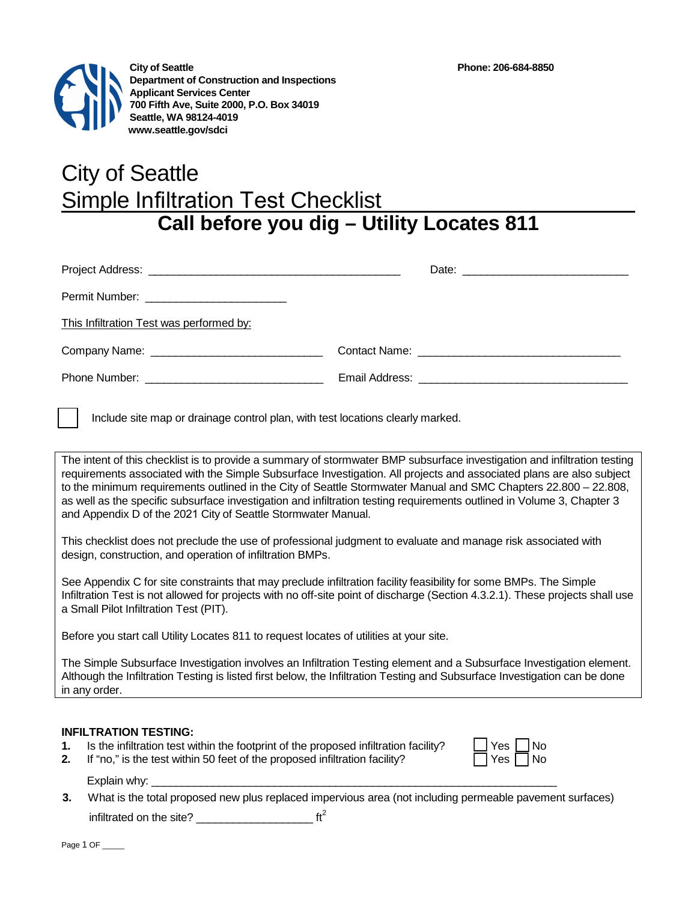

# City of Seattle Simple Infiltration Test Checklist **Call before you dig – Utility Locates 811**

| This Infiltration Test was performed by: |  |
|------------------------------------------|--|
|                                          |  |
|                                          |  |

Include site map or drainage control plan, with test locations clearly marked.

The intent of this checklist is to provide a summary of stormwater BMP subsurface investigation and infiltration testing requirements associated with the Simple Subsurface Investigation. All projects and associated plans are also subject to the minimum requirements outlined in the City of Seattle Stormwater Manual and SMC Chapters 22.800 – 22.808, as well as the specific subsurface investigation and infiltration testing requirements outlined in Volume 3, Chapter 3 and Appendix D of the 2021 City of Seattle Stormwater Manual.

This checklist does not preclude the use of professional judgment to evaluate and manage risk associated with design, construction, and operation of infiltration BMPs.

See Appendix C for site constraints that may preclude infiltration facility feasibility for some BMPs. The Simple Infiltration Test is not allowed for projects with no off-site point of discharge (Section 4.3.2.1). These projects shall use a Small Pilot Infiltration Test (PIT).

Before you start call Utility Locates 811 to request locates of utilities at your site.

The Simple Subsurface Investigation involves an Infiltration Testing element and a Subsurface Investigation element. Although the Infiltration Testing is listed first below, the Infiltration Testing and Subsurface Investigation can be done in any order.

#### **INFILTRATION TESTING:**

- **1.** Is the infiltration test within the footprint of the proposed infiltration facility?
- **2.** If "no," is the test within 50 feet of the proposed infiltration facility?

| ۷es | ٨lo |
|-----|-----|
| 201 | Nο  |

Explain why:

**3.** What is the total proposed new plus replaced impervious area (not including permeable pavement surfaces) infiltrated on the site?  $\frac{1}{2}$  ft<sup>2</sup>

Page 1 OF \_\_\_\_\_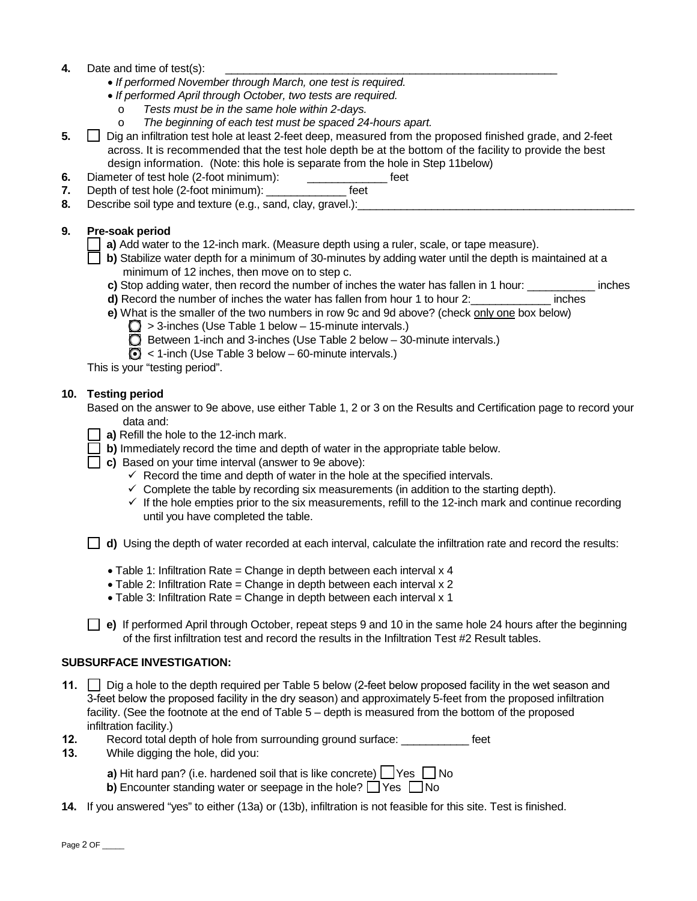#### **4.** Date and time of test(s):

- *If performed November through March, one test is required.*
- *If performed April through October, two tests are required.*
	- o *Tests must be in the same hole within 2-days.*
	- o *The beginning of each test must be spaced 24-hours apart.*
- **5.** Dig an infiltration test hole at least 2-feet deep, measured from the proposed finished grade, and 2-feet across. It is recommended that the test hole depth be at the bottom of the facility to provide the best design information. (Note: this hole is separate from the hole in Step 11below)
- **6.** Diameter of test hole (2-foot minimum): \_\_\_\_\_\_\_\_\_\_
- **7.** Depth of test hole (2-foot minimum): The state of the state of the state of the state of the state of the state of the state of the state of the state of the state of the state of the state of the state of the state o
- **8.** Describe soil type and texture (e.g., sand, clay, gravel.):

# **9. Pre-soak period**

- **a)** Add water to the 12-inch mark. (Measure depth using a ruler, scale, or tape measure).
- **b)** Stabilize water depth for a minimum of 30-minutes by adding water until the depth is maintained at a minimum of 12 inches, then move on to step c.
- **c)** Stop adding water, then record the number of inches the water has fallen in 1 hour: \_\_\_\_\_\_\_\_\_\_\_\_\_ inches
- **d)** Record the number of inches the water has fallen from hour 1 to hour 2:\_\_\_\_\_\_\_\_\_\_\_\_\_ inches
- **e)** What is the smaller of the two numbers in row 9c and 9d above? (check only one box below)
	- $\bigcirc$  > 3-inches (Use Table 1 below 15-minute intervals.)
	- $\Box$  Between 1-inch and 3-inches (Use Table 2 below  $-$  30-minute intervals.)
	- $\odot$  < 1-inch (Use Table 3 below 60-minute intervals.)

This is your "testing period".

# **10. Testing period**

Based on the answer to 9e above, use either Table 1, 2 or 3 on the Results and Certification page to record your data and:

- **a)** Refill the hole to the 12-inch mark.
- $\Box$  b) Immediately record the time and depth of water in the appropriate table below.
- **c)** Based on your time interval (answer to 9e above):
	- $\checkmark$  Record the time and depth of water in the hole at the specified intervals.
	- $\checkmark$  Complete the table by recording six measurements (in addition to the starting depth).
	- $\checkmark$  If the hole empties prior to the six measurements, refill to the 12-inch mark and continue recording until you have completed the table.

**d)** Using the depth of water recorded at each interval, calculate the infiltration rate and record the results:

- Table 1: Infiltration Rate = Change in depth between each interval x 4
- Table 2: Infiltration Rate = Change in depth between each interval x 2
- Table 3: Infiltration Rate = Change in depth between each interval x 1

**e)** If performed April through October, repeat steps 9 and 10 in the same hole 24 hours after the beginning of the first infiltration test and record the results in the Infiltration Test #2 Result tables.

#### **SUBSURFACE INVESTIGATION:**

- **11.** Dig a hole to the depth required per Table 5 below (2-feet below proposed facility in the wet season and 3-feet below the proposed facility in the dry season) and approximately 5-feet from the proposed infiltration facility. (See the footnote at the end of Table 5 – depth is measured from the bottom of the proposed infiltration facility.)
- **12.** Record total depth of hole from surrounding ground surface: \_\_\_\_\_\_\_\_\_\_\_ feet
- **13.** While digging the hole, did you:
	- **a)** Hit hard pan? (i.e. hardened soil that is like concrete)  $\Box$  Yes  $\Box$  No **b)** Encounter standing water or seepage in the hole?  $\Box$  Yes  $\Box$  No
- **14.** If you answered "yes" to either (13a) or (13b), infiltration is not feasible for this site. Test is finished.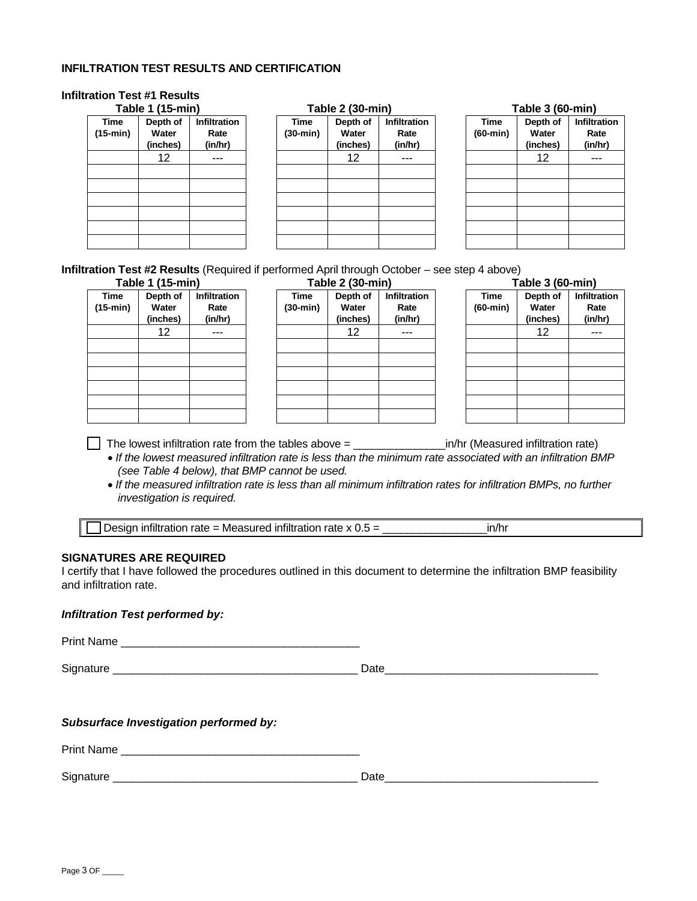# **INFILTRATION TEST RESULTS AND CERTIFICATION**

# **Infiltration Test #1 Results**

| Table 1 (15-min) |          |                     |  |
|------------------|----------|---------------------|--|
| <b>Time</b>      | Depth of | <b>Infiltration</b> |  |
| $(15-min)$       | Water    | Rate                |  |
|                  | (inches) | (in/hr)             |  |
|                  | 12       |                     |  |
|                  |          |                     |  |
|                  |          |                     |  |
|                  |          |                     |  |
|                  |          |                     |  |
|                  |          |                     |  |
|                  |          |                     |  |

|      | Table 1 (15-min) |                     |              | Table 2 (30-min)  |                     |              | Table 3 (60-min) |          |
|------|------------------|---------------------|--------------|-------------------|---------------------|--------------|------------------|----------|
| ۱e   | Depth of         | <b>Infiltration</b> | Time         | Depth of          | <b>Infiltration</b> | <b>Time</b>  | Depth of         | Infiltra |
| nin) | Water            | Rate                | $(30 - min)$ | Water             | Rate                | $(60 - min)$ | Water            | Rat      |
|      | (inches)         | (in/hr)             |              | (inches)          | (in/hr)             |              | (inches)         | (in/h    |
|      | 12               | ---                 |              | $12 \overline{ }$ | ---                 |              | 12               | $---$    |
|      |                  |                     |              |                   |                     |              |                  |          |
|      |                  |                     |              |                   |                     |              |                  |          |
|      |                  |                     |              |                   |                     |              |                  |          |
|      |                  |                     |              |                   |                     |              |                  |          |
|      |                  |                     |              |                   |                     |              |                  |          |
|      |                  |                     |              |                   |                     |              |                  |          |

| Table 3 (60-min) |          |                     |  |  |
|------------------|----------|---------------------|--|--|
| <b>Time</b>      | Depth of | <b>Infiltration</b> |  |  |
| $(60 - min)$     | Water    | Rate                |  |  |
|                  | (inches) | (in/hr)             |  |  |
|                  | 12       |                     |  |  |
|                  |          |                     |  |  |
|                  |          |                     |  |  |
|                  |          |                     |  |  |
|                  |          |                     |  |  |
|                  |          |                     |  |  |
|                  |          |                     |  |  |

**Infiltration Test #2 Results** (Required if performed April through October – see step 4 above)

| Table 1 (15-min) |          |                     |  |  |  |
|------------------|----------|---------------------|--|--|--|
| <b>Time</b>      | Depth of | <b>Infiltration</b> |  |  |  |
| $(15-min)$       | Water    | Rate                |  |  |  |
|                  | (inches) | (in/hr)             |  |  |  |
|                  | 12       |                     |  |  |  |
|                  |          |                     |  |  |  |
|                  |          |                     |  |  |  |
|                  |          |                     |  |  |  |
|                  |          |                     |  |  |  |
|                  |          |                     |  |  |  |
|                  |          |                     |  |  |  |

|            | Table 1 (15-min)              |                                 | Table 2 (30-min) |                      |                               | Table 3 (60-min)                       |  |                      |                               |                          |
|------------|-------------------------------|---------------------------------|------------------|----------------------|-------------------------------|----------------------------------------|--|----------------------|-------------------------------|--------------------------|
| ۱e<br>nin) | Depth of<br>Water<br>(inches) | Infiltration<br>Rate<br>(in/hr) |                  | Time<br>$(30 - min)$ | Depth of<br>Water<br>(inches) | <b>Infiltration</b><br>Rate<br>(in/hr) |  | Time<br>$(60 - min)$ | Depth of<br>Water<br>(inches) | Infiltra<br>Rat<br>(in/h |
|            | 12                            | ---                             |                  |                      | 12                            | ---                                    |  |                      | 12                            | $---$                    |
|            |                               |                                 |                  |                      |                               |                                        |  |                      |                               |                          |
|            |                               |                                 |                  |                      |                               |                                        |  |                      |                               |                          |
|            |                               |                                 |                  |                      |                               |                                        |  |                      |                               |                          |
|            |                               |                                 |                  |                      |                               |                                        |  |                      |                               |                          |
|            |                               |                                 |                  |                      |                               |                                        |  |                      |                               |                          |
|            |                               |                                 |                  |                      |                               |                                        |  |                      |                               |                          |

| Table 3 (60-min) |          |                     |  |  |
|------------------|----------|---------------------|--|--|
| <b>Time</b>      | Depth of | <b>Infiltration</b> |  |  |
| $(60 - min)$     | Water    | Rate                |  |  |
|                  | (inches) | (in/hr)             |  |  |
|                  | 12       |                     |  |  |
|                  |          |                     |  |  |
|                  |          |                     |  |  |
|                  |          |                     |  |  |
|                  |          |                     |  |  |
|                  |          |                     |  |  |
|                  |          |                     |  |  |

The lowest infiltration rate from the tables above = \_\_\_\_\_\_\_\_\_\_\_\_\_\_\_in/hr (Measured infiltration rate)

• *If the lowest measured infiltration rate is less than the minimum rate associated with an infiltration BMP (see Table 4 below), that BMP cannot be used.*

• *If the measured infiltration rate is less than all minimum infiltration rates for infiltration BMPs, no further investigation is required.*

Design infiltration rate = Measured infiltration rate x 0.5 = \_\_\_\_\_\_\_\_\_\_\_\_\_\_\_\_\_in/hr

#### **SIGNATURES ARE REQUIRED**

I certify that I have followed the procedures outlined in this document to determine the infiltration BMP feasibility and infiltration rate.

## *Infiltration Test performed by:*

Print Name \_\_\_\_\_\_\_\_\_\_\_\_\_\_\_\_\_\_\_\_\_\_\_\_\_\_\_\_\_\_\_\_\_\_\_\_\_\_

Signature \_\_\_\_\_\_\_\_\_\_\_\_\_\_\_\_\_\_\_\_\_\_\_\_\_\_\_\_\_\_\_\_\_\_\_\_\_\_\_ Date\_\_\_\_\_\_\_\_\_\_\_\_\_\_\_\_\_\_\_\_\_\_\_\_\_\_\_\_\_\_\_\_\_\_

# *Subsurface Investigation performed by:*

Print Name \_\_\_\_\_\_\_\_\_\_\_\_\_\_\_\_\_\_\_\_\_\_\_\_\_\_\_\_\_\_\_\_\_\_\_\_\_\_

| $\sim$<br>וכ<br>.<br>________ | .<br>$ -$ |
|-------------------------------|-----------|
|                               |           |